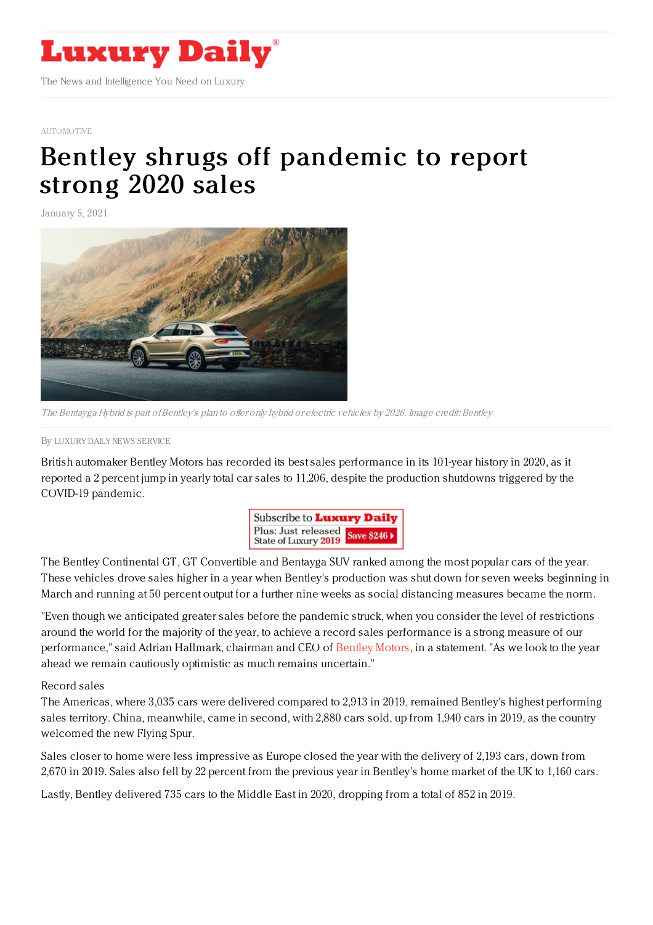

## [AUTOMOTIVE](https://www.luxurydaily.com/category/sectors/automotive-industry-sectors/)

## Bentley shrugs off [pandemic](https://www.luxurydaily.com/bentley-2020-record-sales/) to report strong 2020 sales

January 5, 2021



The Bentayga Hybrid is part of Bentley's plan to offer only hybrid or electric vehicles by 2026. Image credit: Bentley

By LUXURY DAILY NEWS [SERVICE](file:///author/luxury-daily-news-service)

British automaker Bentley Motors has recorded its best sales performance in its 101-year history in 2020, as it reported a 2 percent jump in yearly total car sales to 11,206, despite the production shutdowns triggered by the COVID-19 pandemic.



The Bentley Continental GT, GT Convertible and Bentayga SUV ranked among the most popular cars of the year. These vehicles drove sales higher in a year when Bentley's production was shut down for seven weeks beginning in March and running at 50 percent output for a further nine weeks as social distancing measures became the norm.

"Even though we anticipated greater sales before the pandemic struck, when you consider the level of restrictions around the world for the majority of the year, to achieve a record sales performance is a strong measure of our performance," said Adrian Hallmark, chairman and CEO of [Bentley](http://www.bentleymotors.com) Motors, in a statement. "As we look to the year ahead we remain cautiously optimistic as much remains uncertain."

Record sales

The Americas, where 3,035 cars were delivered compared to 2,913 in 2019, remained Bentley's highest performing sales territory. China, meanwhile, came in second, with 2,880 cars sold, up from 1,940 cars in 2019, as the country welcomed the new Flying Spur.

Sales closer to home were less impressive as Europe closed the year with the delivery of 2,193 cars, down from 2,670 in 2019. Sales also fell by 22 percent from the previous year in Bentley's home market of the UK to 1,160 cars.

Lastly, Bentley delivered 735 cars to the Middle East in 2020, dropping from a total of 852 in 2019.